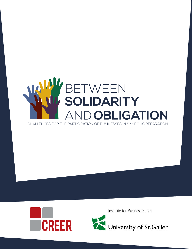### BETWEEN  **SOLIDARITY**  AND **OBLIGATION**

CHALLENGES FOR THE PARTICIPATION OF BUSINESSES IN SYMBOLIC REPARATION



University of St.Gallen

Institute for Business Ethics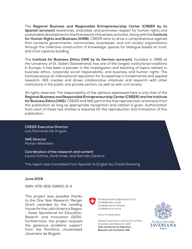The **Regional Business and Responsible Entrepreneurship Center (CREER by its Spanish acronym)** researches, evaluates, and promotes respect for human rights and sustainable development in the framework of business activities. Along with the **Institute for Human Rights and Business (IHRB)**, CREER aims to drive a comprehensive agenda that connects governments, communities, businesses, and civil society organizations through the collective construction of knowledge, spaces for dialogue based on trust, and local capacity building.

The **Institute for Business Ethics (IWE by its German acronym),** founded in 1989 at the University of St. Gallen (Switzerland), has one of the longest institutional traditions in Europe. It has been a pioneer in the investigation and teaching of topics related to business ethics, corporate social responsibility, and business and human rights. The Institute enjoys an international reputation for its expertise in fundamental and applied research. IWE creates and drives collaborative initiatives and research with other institutions in the public and private sectors, as well as with civil society.

All rights reserved. The responsibility of the opinions expressed here is only that of the **Regional Business and Responsible Entrepreneurship Center (CREER) and the Institute for Business Ethics (IWE).** CREER and IWE permit the free reproduction of extracts from this publication as long as appropriate recognition and citation is given. Authorization from each of these two entities is required for the reproduction and translation of this publication.

**CREER Executive Director** Luis Fernando De Angulo

**IWE Director** Florian Wettstein

**Coordination of the research and content** Laura Cotrina, Jordi Vives, and Germán Zarama

This report was translated from Spanish to English by Cristal Downing

#### **June 2019**

ISBN: 978-958-59805-9-4

This project was possible thanks to the One Year Research Merger Grant awarded by the Leading House for the Latin America Region - State Secretariat for Education, Reserch and Innovation (SERI). Furthermore, the project enjoyed the generous academic support from the Pontificia Universidad Javeriana de Bogotá.



Schweizerische Eidgenossenschaft Confédération suisse Confederazione Svizzera Confederaziun svizra

Swiss Confederation

Federal Department of Economic Affairs, Education and Research EAER **State Secretariat for Education, Research and Innovation SERI** 

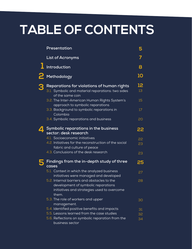### **TABLE OF CONTENTS**

| Presentation                                                                                                                               | 5         |
|--------------------------------------------------------------------------------------------------------------------------------------------|-----------|
| <b>List of Acronyms</b>                                                                                                                    |           |
| Introduction                                                                                                                               | 8         |
| Methodology                                                                                                                                | <b>10</b> |
| Reparations for violations of human rights<br>3.1. Symbolic and material reparations: two sides<br>of the same coin                        | 12<br>13  |
| 3.2. The Inter-American Human Rights System's<br>approach to symbolic reparations                                                          | 15        |
| 3.3. Background to symbolic reparations in<br>Colombia                                                                                     | 17        |
| 3.4. Symbolic reparations and business                                                                                                     | 20        |
| Symbolic reparations in the business<br>sector: desk research                                                                              |           |
| 4.1. Socioeconomic initiatives                                                                                                             | 22        |
| 4.2. Initiatives for the reconstruction of the social<br>fabric and culture of peace                                                       | 23        |
| 4.3. Conclusions of the desk research                                                                                                      | 23        |
| Findings from the in-depth study of three<br>cases                                                                                         | 25        |
| 5.1. Context in which the analyzed business<br>initiatives were managed and developed                                                      | 27        |
| 5.2. Internal barriers and obstacles to the<br>development of symbolic reparations<br>initiatives and strategies used to overcome<br>them. | 28        |
| 5.3. The role of workers and upper<br>management.                                                                                          | 30        |
| 5.4. Identified positive benefits and impacts                                                                                              | 31        |
| 5.5. Lessons learned from the case studies                                                                                                 | 32        |
| 5.6. Reflections on symbolic reparation from the<br>business sector                                                                        | 34        |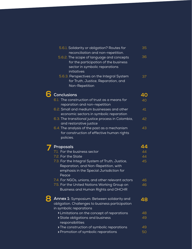|   | 5.6.1. Solidarity or obligation? Routes for                                   | 35 |
|---|-------------------------------------------------------------------------------|----|
|   | reconciliation and non-repetition.                                            |    |
|   | 5.6.2. The scope of language and concepts                                     | 36 |
|   | for the participation of the business                                         |    |
|   | sector in symbolic reparations                                                |    |
|   | initiatives                                                                   |    |
|   | 5.6.3. Perspectives on the Integral System                                    | 37 |
|   | for Truth, Justice, Reparation, and                                           |    |
|   | Non-Repetition                                                                |    |
| 6 | <b>Conclusions</b>                                                            | 40 |
|   |                                                                               |    |
|   | 6.1. The construction of trust as a means for                                 | 40 |
|   | reparation and non-repetition<br>6.2. Small and medium businesses and other   | 41 |
|   |                                                                               |    |
|   | economic sectors in symbolic reparation                                       |    |
|   | 6.3. The transitional justice process in Colombia,<br>and restorative justice | 42 |
|   | 6.4. The analysis of the past as a mechanism                                  | 43 |
|   | for construction of effective human rights                                    |    |
|   | policies.                                                                     |    |
|   |                                                                               |    |
|   | Proposals                                                                     | 44 |
|   | 7.1. For the business sector                                                  | 44 |
|   | 7.2. For the State                                                            | 44 |
|   | 7.3. For the Integral System of Truth, Justice,                               | 45 |
|   | Reparation, and Non-Repetition, with                                          |    |
|   | emphasis in the Special Jurisdiction for                                      |    |
|   | Peace                                                                         |    |
|   | 7.4. For NGOs, unions, and other relevant actors                              | 46 |
|   | 7.5. For the United Nations Working Group on                                  | 46 |
|   | Business and Human Rights and OHCHR                                           |    |
|   | <b>Annex 1:</b> Symposium: Between solidarity and                             | 48 |
|   | obligation. Challenges to business participation                              |    |
|   | in symbolic reparations                                                       |    |
|   | » Limitations on the concept of reparations                                   | 48 |
|   | » State obligations and business                                              | 49 |
|   | responsibilities                                                              |    |
|   | » The construction of symbolic reparations                                    | 49 |
|   | » Promotion of symbolic reparations                                           | 50 |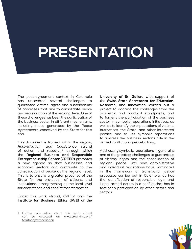# **PRESENTATION**

The post-agreement context in Colombia has uncovered several challenges to guarantee victims' rights and sustainability of processes that aim to consolidate peace and reconciliation at the regional level. One of these challenges has been the participation of the business sector in different mechanisms, including those generated by the Peace Agreements, conceived by the State for this end.

This document is framed within the *Region, Reconciliation, and Coexistence* strand of action and research,**<sup>1</sup>** through which the **Regional Business and Responsible Entrepreneurship Center (CREER)** promotes a new agenda so that businesses and economic sectors can contribute to the consolidation of peace at the regional level. This is to ensure a greater presence of the State for the protection of citizens, and institutional strengthening at the local level for coexistence and conflict transformation.

Under this work strand, CREER and the **Institute for Business Ethics (IWE) of the**  **University of St. Gallen,** with support of the **Swiss State Secretariat for Education, Research, and Innovation,** carried out a project to address the challenges from the academic and practical standpoints, and to foment the participation of the business sector in symbolic reparations initiatives, as well as to identify the expectations of victims, businesses, the State, and other interested parties, and to use symbolic reparations to address the business sector's role in the armed conflict and peacebuilding.

Addressing symbolic reparations in general is one of the greatest challenges to guarantees of victims' rights and the consolidation of regional peace. Until now, administrative and individual reparations have dominated in the framework of transitional justice processes carried out in Colombia, as has the identification of responsible legal and illegal armed actors in a conflict that has in fact seen participation by other actors and sectors.



<sup>1</sup> Further information about this work strand can be accessed at: www.creer-ihrb.org/ territorioyreconciliacion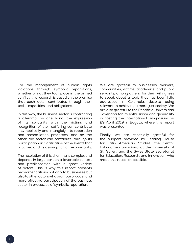For the management of human rights violations through symbolic reparations, whether or not they took place in the armed conflict, this research is based on the premise that each actor contributes through their tasks, capacities, and obligations.

In this way, the business sector is confronting a dilemma: on one hand, the expression of its solidarity with the victims and recognition of their suffering can contribute – symbolically and intangibly – to reparation and reconciliation processes; and on the other, the sector can contribute, through its participation, in clarification of the events that occurred and its assumption of responsibility.

The resolution of this dilemma is complex and depends in large part on a favorable context and predisposition with a great variety of actors. This is why this report presents recommendations not only to businesses but also to other actors who promote broader and more effective participation of the business sector in processes of symbolic reparation.

We are grateful to businesses, workers, communities, victims, academics, and public servants, among others, for their willingness to speak about a topic that has been little addressed in Colombia, despite being relevant to achieving a more just society. We are also grateful to the Pontificia Universidad Javeriana for its enthusiasm and generosity in hosting the International Symposium on 29 April 2019 in Bogota, where this report was presented.

Finally, we are especially grateful for the support provided by Leading House for Latin American Studies, the Centro Latinoamericano-Suizo at the University of St. Gallen, and the Swiss State Secretariat for Education, Research, and Innovation, who made this research possible.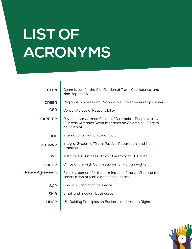# **LIST OF ACRONYMS**

| <b>CCTCN</b>           | Commission for the Clarification of Truth, Coexistence, and<br>Non-repetition                                                    |
|------------------------|----------------------------------------------------------------------------------------------------------------------------------|
| <b>CREER</b>           | Regional Business and Responsible Entrepreneurship Center                                                                        |
| <b>CSR</b>             | <b>Corporate Social Responsibility</b>                                                                                           |
| <b>FARC-EP</b>         | Revolutionary Armed Forces of Colombia - People's Army<br>(Fuerzas Armadas Revolucionarias de Colombia - Ejército<br>del Pueblo) |
| <b>IHL</b>             | International Humanitarian Law                                                                                                   |
| <b>ISTJRNR</b>         | Integral System of Truth, Justice, Reparation, and Non-<br>repetition                                                            |
| <b>IWE</b>             | Institute for Business Ethics, University of St. Gallen                                                                          |
| <b>OHCHR</b>           | Office of the High Commissioner for Human Rights                                                                                 |
| <b>Peace Agreement</b> | Final agreement for the termination of the conflict and the<br>construction of stable and lasting peace                          |
| <b>SJP</b>             | <b>Special Jurisdiction for Peace</b>                                                                                            |
| <b>SMB</b>             | Small and medium businesses                                                                                                      |
| <b>UNGP</b>            | UN Guiding Principles on Business and Human Rights                                                                               |
|                        |                                                                                                                                  |

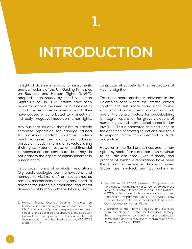## **INTRODUCTION**

In light of diverse international instruments and particularly of the UN Guiding Principles on Business and Human Rights (UNGP), adopted unanimously by the UN Human Rights Council in 2011<sup>2</sup>, efforts have been made to address the need for businesses to contribute resources in cases in which they have caused or contributed to – directly or indirectly – negative impacts on human rights.

Any business initiative that aims to provide complete reparation for damage caused to individual and/or collective victims must recognize their dignity and address particular needs in terms of re-establishing their rights. Material restitution and financial compensation can contribute, but they do not address the aspect of dignity inherent in human rights.

In contrast, forms of symbolic reparations (e.g. public apologies, commemorations, and homage to victims, etc.) are recognized as remedy mechanisms uniquely positioned to address the intangible emotional and moral dimension of human rights violations, and to contribute effectively to the restoration of victims' dignity.3

This topic bears particular relevance in the Colombian case, where the internal armed conflict has left more than eight million victims4 and constitutes a context in which one of the central factors for peacebuilding is integral reparation for grave violations of human rights and international humanitarian law (IHL). This is presented as a challenge to the definition of strategies, actions, and tools to respond to the broad demand for truth and justice.

However, in the field of business and human rights, symbolic forms of reparation continue to be little discussed. Even if theory and practice of symbolic reparations have been the subject of extensive discussion when States are involved, and particularly in

<sup>2</sup> Human Rights Council, Guiding Principles on business and human rights: implementation of the UN framework to "protect, respect, and remedy". Report of the Special Representative of the Secretary General on the question of human rights and transnational and other businesses, A/HRC/17/31 (2011). Art. 22.

<sup>3</sup> See Minow, M. (1998). Between Vengeance and Forgiveness: Facing History after Genocide and Mass Violence. Boston: Beacon Press; and United Nations. (2008). Rule of Law Tools for Post-conflict States: Reparation Programmes (Vol. HR/PUB/08/1). New York and Geneva: Office of the United Nations High Commissioner for Human Rights.

<sup>4</sup> According to the Victims' Registry and statistics from the National Center for Historical Memory. See[: http://www.centrodememoriahistorica.gov.](http://www.centrodememoriahistorica.gov.co/micrositios/informeGeneral/estadisticas.html) [co/micrositios/informeGeneral/estadisticas.html](http://www.centrodememoriahistorica.gov.co/micrositios/informeGeneral/estadisticas.html) Accessed on 1 March 2019.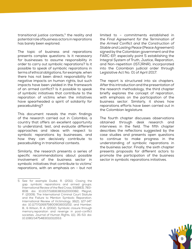transitional justice contexts, $5$  the reality and potential role of business actors in reparations has barely been explored.

The topic of business and reparations presents complex questions: Is it necessary for businesses to assume responsibility in order to carry out symbolic reparations? Is it possible to speak of symbolic reparations in terms of ethical obligations, for example, when there has not been direct responsibility for negative impacts on human rights, but such impacts have been yielded in the framework of an armed conflict? Is it possible to speak of symbolic initiatives that contribute to the reparation of victims when the initiatives have spearheaded a spirit of solidarity for peacebuilding?

This document reveals the main findings of the research carried out in Colombia, a country that offers an excellent opportunity to understand, test, and evaluate different approaches and ideas with respect to symbolic reparations by businesses, and how they can decisively contribute to peacebuilding in transitional contexts.

Similarly, the research presents a series of specific recommendations about possible involvement of the business sector in symbolic initiatives that contribute to victims' reparations, with an emphasis on – but not

limited to – commitments established in the *Final Agreement for the Termination of the Armed Conflict and the Construction of Stable and Lasting Peace* (Peace Agreement) signed by the Colombian government and the FARC-EP, especially point 5 establishing the Integral System of Truth, Justice, Reparation, and Non-repetition (ISTJRNR), incorporated into the Colombian judicial order through Legislative Act No. 01 of April 2017.

The report is structured into six chapters. After this introduction and the presentation of the research methodology, the third chapter briefly explores the concept of reparation, with emphasis on the participation of the business sector. Similarly, it shows how reparations efforts have been carried out in the Colombian legislature.

The fourth chapter discusses observations obtained through desk research and interviews in the field. The fifth chapter describes the reflections suggested by the case studies and presents open questions to continue to make progress in the understanding of symbolic reparations in the business sector. Finally, the sixth chapter presents proposals for different actors to promote the participation of the business sector in symbolic reparations initiatives.



<sup>5</sup> See for example Dudai, R. (2011). Closing the gap: symbolic reparations and armed groups. International Review of the Red Cross, 93(883), 783- 808. doi: 10.1017/S1816383112000082; Mégret, F. (2009). The International Criminal Court Statute and the Failure to Mention Symbolic Reparation. International Review of Victimology, 16(2), 127-147. doi: 10.1177/026975800901600202; and Hamber, B., & Wilson, R. A. (2002). Symbolic closure through memory,reparation and revenge in post-conflict societies. Journal of Human Rights, 1(1), 35-53. doi: 10.1080/14754830110111553.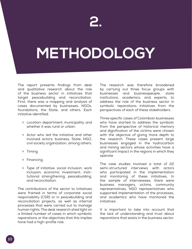# **METHODOLOGY**

The report presents findings from desk and qualitative research about the role of the business sector in initiatives that target peacebuilding and reconciliation. First, there was a mapping and analysis of cases documented by businesses, NGOs, foundations, the State, and others. Each initiative identified:

- » Location: department, municipality, and whether it was rural or urban.
- » Actor who led the initiative and other involved actors: business, State, NGO, civil society organization, among others.
- » Timing.
- » Financing.
- » Type of initiative: social inclusion, work inclusion, economic investment, institutional strengthening, peacebuilding, and reconciliation.

The contributions of the sector to initiatives were framed in terms of corporate social responsibility (CSR) or in peacebuilding and reconciliation projects, as well as internal processes that were carried out to manage human rights. The desk research shed light on a limited number of cases in which symbolic reparations or the objectives that this implies have had a high-profile role.

The research was therefore broadened by carrying out three focus groups with businesses and businesspeople, state institutions, academics, and experts, to address the role of the business sector in symbolic reparations initiatives from the perspectives of each of these stakeholders.

Three specific cases of Colombian businesses who have started to address the symbolic from the perspective of historical memory and dignification of the victims were chosen with the objective of giving more depth to the research. These cases present large businesses engaged in the hydrocarbon and mining sectors whose activities have a significant impact in the regions in which they operate.

The case studies involved a total of 22 semi-structured interviews with actors who participated in the implementation and monitoring of these initiatives. In the sample of interviewees, there were business managers, victims, community representatives, NGO representatives who supported implementation of the processes, and academics who have monitored the initiatives.

It is important to take into account that the lack of understanding and trust about reparations that exists in the business sector,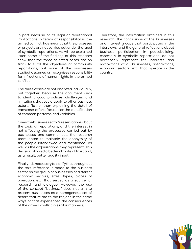in part because of its legal or reputational implications in terms of responsibility in the armed conflict, has meant that the processes or projects are not carried out under the label of symbolic reparations. As will be explained later, some of the findings of this research show that the three selected cases are on track to fulfill the objectives of community reparations, but none of the businesses studied assumes or recognizes responsibility for infractions of human rights in the armed conflict.

The three cases are not analyzed individually, but together, because the document aims to identify good practices, challenges, and limitations that could apply to other business actors. Rather than explaining the detail of each case, efforts focused on the identification of common patterns and variables.

Given the business sector's reservations about the topic of reparations, and the interest in not affecting the processes carried out by businesses and communities, the research team opted to maintain the anonymity of the people interviewed and mentioned, as well as the organizations they represent. This decision allowed a better climate of trust and, as a result, better quality input.

Finally, it is necessary to clarify that throughout the text, reference is made to the business sector as the group of businesses of different economic sectors, sizes, types, places of operation, etc. that served as a source for research and dialogue. However, the use of the concept "business" does not aim to present businesses as a homogenous set of actors that relate to the regions in the same ways or that experienced the consequences of the armed conflict in similar manners.

Therefore, the information obtained in this research, the conclusions of the businesses and interest groups that participated in the interviews, and the general reflections about business participation in peacebuilding, especially in symbolic reparations, do not necessarily represent the interests and motivations of all businesses, associations, economic sectors, etc. that operate in the country.

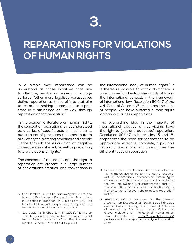### **3.**

### **REPARATIONS FOR VIOLATIONS OF HUMAN RIGHTS**

In a simple way, reparations can be understood as those initiatives that aim to alleviate, resolve, or remedy a damage suffered. Other more legalistic perspectives define reparation as those efforts that aim to restore something or someone to a prior state in a structured or just way, through reparation or compensation.6

In the academic literature on human rights, the concept of reparations is not understood as a series of specific acts or mechanisms, but as a set of processes that contribute to alleviating the suffering of victims and provide justice through the elimination of negative consequences suffered, as well as preventing future violations of rights.7

The concepts of reparation and the right to reparation are present in a large number of declarations, treaties, and conventions in the international body of human rights. $8$  It is therefore possible to affirm that there is a recognized and established body of law in the international context. In the framework of international law, Resolution 60/147 of the UN General Assembly<sup>9</sup> recognizes the right of people who have suffered human rights violations to access reparations.

The overarching idea in the majority of international treaties is that victims have the right to "just and adequate" reparation. Resolution 60/147, in its articles 15 and 18, emphasizes the need for reparations to be appropriate, effective, complete, rapid, and proportionate. In addition, it recognizes five different types of reparation:

<sup>6</sup> See Hamber, B. (2006). Narrowing the Micro and Macro. A Psychological Perspective on Reparations in Societies in Transition. In P. De Greiff (Ed.), The handbook of reparations (pp. xxxiii, 1020 p.). Oxford; New York: Oxford University Press. p. 562.

<sup>7</sup> See David, R. & Choi, S. Y. P. (2005). Victims on Transitional Justice: Lessons from the Reparation of Human Rights Abuses in the Czech Republic. Human Rights Quarterly, 27(2), 392-435. p. 393.

<sup>8</sup> Some examples: the Universal Declaration of Human Rights makes use of the term "effective resource" (art. 8). The American Convention on Human Rights speaks of the "right to be compensated according to the law" (art. 10) and "just compensation" (art. 63). The International Pack for Civil and Political Rights highlgihts the "effective right to obtain reparation"  $($ art.  $\overline{9})$ .

<sup>9</sup> Resolution 60/147 approved by the General Assembly on December 16, 2005, Basic Principles and Guidlines on the Rights of Victims of Violations of International Norms of Human Rights and Grave Violations of International Humanitarian Law. Available at: [https://www.ohchr.org/sp/](https://www.ohchr.org/sp/professionalinterest/pages/remedyandreparation.aspx) [professionalinterest/pages/remedyandreparation.](https://www.ohchr.org/sp/professionalinterest/pages/remedyandreparation.aspx) [aspx](https://www.ohchr.org/sp/professionalinterest/pages/remedyandreparation.aspx)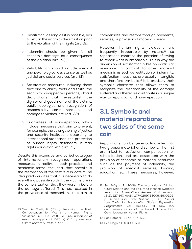- » Restitution, as long as it is possible, has to return the victim to the situation prior to the violation of their rights (art. 19);
- » Indemnity should be given for all economic damages as a consequence of the violation (art. 20);
- » Rehabilitation should include medical and psychological assistance as well as judicial and social services (art. 21);
- » Satisfaction measures, including those that aim to clarify facts and truth, the search for disappeared persons, official declarations that re-establish the dignity and good name of the victims, public apologies and recognition of responsibility, commemorations, and homage to victims, etc. (art. 22);
- » Guarantees of non-repetition, which include measures that aim to prevent, for example, the strengthening of justice and security institutions according to international standards, the protection of human rights defenders, human rights education, etc. (art. 23).

Despite this extensive and varied catalogue of internationally recognized reparations measures, in reality, in both practical and academic terms, the ideal that prevails is the restoration of the *status quo ante.*10 The idea predominates that it is necessary to do everything possible so that the victims are in the same situation that they were in before the damage suffered. This has resulted in the prevalence of mechanisms that aim to

10 See De Greiff, P. (2006). Repairing the Past: Compensation for Victims of Human Rights Violations. In P. De Greiff (Ed.), *The handbook of reparations* (pp. xxxiii, 1020 p.). Oxford; New York: Oxford University Press. p. 455.

compensate and restore through payments, services, or provision of material assets.<sup>11</sup>

However, human rights violations are frequently irreparable by nature, $12$  so reparations confront the paradox of trying to repair what is irreparable. This is why the dimension of satisfaction takes on particular relevance. In contrast to other material mechanisms such as restitution or indemnity, satisfaction measures are usually intangible and therefore symbolic.<sup>13</sup> It is precisely their symbolic character that allows them to recognize the irreparability of the damage suffered and therefore contribute in a unique way to reparation and non-repetition.

#### **3.1. Symbolic and material reparations: two sides of the same coin**

Reparations can be generically divided into two groups: material and symbolic. The first are linked to restitution, compensation, or rehabilitation, and are associated with the provision of economic or material resources such as the payment of indemnity, the provision of medical services, lodging, education, etc. These measures, however,

- 12 See Hamber, B. (2006). p. 567.
- 13 See Mégret, F. (2009). p. 3.



<sup>11</sup> See Mégret, F. (2009). The International Criminal Court Statute and the Failure to Mention Symbolic Reparation. *International Review of Victimology*, 16(2), 127-147. doi:10.1177/026975800901600202. p. 14. See also United Nations. (2008). *Rule of Law Tools for Post-conflict States: Reparation Programmes* (Vol. HR/PUB/08/1). New York and Geneva: Office of the United Nations High Commissioner for Human Rights.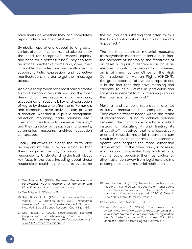have limits on whether they can completely repair victims and their relatives.<sup>14</sup>

Symbolic reparations appeal to a greater variety of victims' concerns and take seriously the need for recognition, respect, dignity, and hope for a better future.<sup>15</sup> They can take an infinite number of forms and, given their intangible character, are frequently used to support artistic expression and collective manifestations in order to get their message across.

Apologies are probably the most paradigmatic form of symbolic reparations, and the most demanding. They require, at a minimum, acceptance of responsibility and expression of regret by those who offer them. Memorials and commemorative activities can provoke a reaction, whether it is public recognition, reflection, mourning, pride, sadness, etc.<sup>16</sup> Their main function is to preserve memory, $17$ and they can take forms such as monuments, ceremonies, museums, archives, education centers, etc.

Finally, initiatives to clarify the truth play an important role in reconciliation, in that they can pave the way for recognition of responsibility. Understanding the truth about key facts in the past, including about those responsible, could help victims to overcome

14 See Minow, M. (1998). *Between Vengeance and Forgiveness: Facing History after Genocide and Mass Violence*. Boston: Beacon Press. p. 103.

the trauma and suffering that often follows the lack of information about what exactly happened.<sup>18</sup>

The line that separates material measures from symbolic measures is tenuous. In fact, the payment of indemnity, the restitution of an asset or a judicial sentence can have an elevated connotation of recognition. However, as is affirmed by the Office of the High Commissioner for Human Rights (OHCHR), the great potential of symbolic reparations is in the fact that they have meaning and capacity to help victims in particular and societies in general to build meaning around the tragic events of the past. $19$ 

Material and symbolic reparations are not exclusive measures, but complementary. They cover different needs within the realm of reparations. Failing to achieve balance between the two can exacerbate conflict instead of placating it and limiting its effectivity.<sup>20</sup> Initiatives that are excessively oriented towards material reparation can result in victims being perceived as economic agents, and negates the moral dimension of the effort. On the other hand, in cases in which reparation is limited to symbolic efforts, victims could perceive them as tactics to divert attention away from legitimate claims to compensation or material restitution.

<sup>15</sup> See Mégret, F. (2009). p. 6.

<sup>16</sup> See Bickford, L. (2014). Memoryworks/Memory Works. In C. Ramiírez-Barat (Ed.), *Transitional Justice, Culture, and Society. Beyond Outreach*. New York: Social Science Research Council. p. 494.

<sup>17</sup> See Radzik, L. (2015). Reconciliation. *Stanford Encyclopedia of Philosophy*. Summer 2015. Retrieved from [http://plato.stanford.edu/archives/](http://plato.stanford.edu/archives/sum2012/entries/toleration/) [sum2012/entries/toleration/](http://plato.stanford.edu/archives/sum2012/entries/toleration/) . p. 7.

<sup>18</sup> See Hamber, B. (2006). Narrowing the Micro and Macro. A Psychological Perspective on Reparations in Societies in Transition. In P. De Greiff (Ed.), *The handbook of reparations* (pp. xxxiii, 1020 p.). Oxford ; New York: Oxford University Press. p. 580

<sup>19</sup> See also United Nations. (2008). p. 23.

<sup>20</sup> See Richards, M. (2007). *The design and implementation of an optimal reparation program: how should limited resources for material reparation be distributed across victims of the Colombian conflict?* Retrieved from Bogotá, Colombia. p. 32.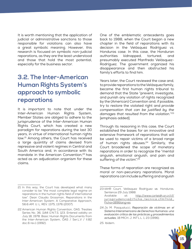It is worth mentioning that the application of judicial or administrative sanctions to those responsible for violations can also have a great symbolic meaning. However, this research is focused on symbolic non-judicial reparations, as they are the least understood and those that hold the most potential, especially for the business sector.

#### **3.2. The Inter-American Human Rights System's approach to symbolic reparations**

It is important to note that under the Inter-American Human Rights System, Member States are obliged to adhere to the jurisprudence of the Inter-American Human Rights Court, which has created a new paradigm for reparations during the last 30 years, in virtue of international human rights law.<sup>21</sup> Among others, the Court has received a large quantity of claims devised from repressive and violent regimes in Central and South America and, in accordance with its mandate in the American Convention,<sup>22</sup> has acted as an adjudication organism for these claims.

21 In this way, the Court has developed what many consider to be "the most complete legal regime on reparations in the human rights field of international law". Dean Claudio Grossman, Reparations in the Inter-American System: A Comparative Approach, 56:6 AM. U. L. REV. 1375, 1376 (2007).

22 American Human Rights Convention, OAS. Treaties Series No. 36, 1144 U.N.T.S. 123. Entered validity on July 18, 1978. Basic Human Rights Documents from the Inter-American System, OAS / Ser.L.V / II.82 doc.6 rev.1 (1992).

One of the emblematic antecedents goes back to 1988, when the Court began a new chapter in the field of reparations with its decision in the Velásquez Rodríguez *vs*. Honduras case. In this case, the Honduran authorities kidnapped, tortured, and presumably executed Manfredo Velásquez-Rodríguez. The government organized his disappearance and then obstructed his family's efforts to find him.

Years later, the Court reviewed the case and, to provide reparations to the Velásquez family, became the first human rights tribunal to demand that the State "prevent, investigate, and punish any violation of rights recognized by the (American) Convention and, if possible, try to restore the violated right and *provide compensation that can be justified by the damages that resulted from the violation.*"23 [emphasis added].

Through its reasoning in this case, the Court established the bases for an innovative and extensive framework of reparations that will be used to repair victims of a broad range of human rights abuses. $24$  Similarly, the Court broadened the scope of monetary reparations in order to recognize the "mental anguish, emotional anguish, and pain and suffering of the victim".<sup>25</sup>

These forms of reparation are recognized as moral or non-pecuniary reparations. Moral reparations can include suffering and anguish



<sup>23</sup> IAHR Court, Velásquez Rodríguez *vs*. Honduras. Sentence 29 July 1988. Available at: [http://www.corteidh.or.cr/cf/](http://www.corteidh.or.cr/cf/jurisprudencia2/ficha_tecnica.cfm?nId_Ficha=189&lang=es) [jurisprudencia2/ficha\\_tecnica.cfm?nId\\_](http://www.corteidh.or.cr/cf/jurisprudencia2/ficha_tecnica.cfm?nId_Ficha=189&lang=es) [Ficha=189&lang=es](http://www.corteidh.or.cr/cf/jurisprudencia2/ficha_tecnica.cfm?nId_Ficha=189&lang=es)

<sup>24</sup> Jo M. Pasqualucci, *Reparación de víctimas en el Sistema Interamericano de Derechos Humanos: una evaluación crítica de las prácticas y procedimientos actuales*, 18 MICH. J. INT'L L. 1, 23 (1996).

<sup>25</sup> Ibídem.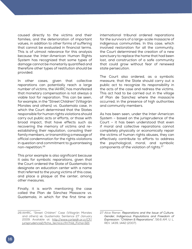caused directly to the victims and their families, and the deterioration of important values, in addition to other forms of suffering that cannot be evaluated in financial terms. This is of utmost relevance for this analysis because the Inter-American Human Rights System has recognized that some types of damage cannot be monetarily quantified and therefore other types of restitution should be provided.

In other cases, given that collective reparations can potentially reach a large number of victims, the IAHRC has manifested that monetary compensation is not always a viable tool for reparation. This can be seen, for example, in the "Street Children" (Villagrán Morales and others) *vs*. Guatemala case, in which the Court determined that the States responsible for human rights violations should carry out public acts or efforts, or those with broad impact, that have effects such as recovering the memory of victims and reestablishing their reputation, consoling their family members, or transmitting a message of official condemnation for the rights violations in question and commitment to guaranteeing non-repetition.26

This prior example is also significant because it asks for symbolic reparations, given that the Court ordered the State of Guatemala to designate an education center with a name that referred to the young victims of this case, and place a plaque at the center, among other measures.

Finally, it is worth mentioning the case called the Plan de Sánchez Massacre *vs*. Guatemala, in which for the first time an international tribunal ordered reparations for the survivors of a large-scale massacre of indigenous communities. In this case, which involved restoration for all the community, the Court determined the creation of a new sanctuary to replace the home that had been lost, and construction of a safe community that could grow without fear of renewed state persecution.

The Court also ordered, as a symbolic measure, that the State should carry out a public act to recognize its responsibility in the acts of the case and redress the victims. This act had to be carried out in the village of Plan de Sanchez where the massacre occurred, in the presence of high authorities and community members.

As has been seen, under the Inter-American System – based on the jurisprudence of the Court – it has been understood that even if moral and collective reparations cannot completely physically or economically repair the victims of human rights abuses, they can effectively contribute to efforts to address the psychological, moral, and symbolic components of the violation of rights.<sup>27</sup>

<sup>26</sup> IAHRC, "Street Children" Case (Villagrán Morales and others) *vs*. Guatemala. Sentence 27 January 2009. Available at: [http://www.corteidh.or.cr/CF/](http://www.corteidh.or.cr/CF/jurisprudencia2/ficha_tecnica.cfm?nId_Ficha=321) [jurisprudencia2/ficha\\_tecnica.cfm?nId\\_Ficha=321](http://www.corteidh.or.cr/CF/jurisprudencia2/ficha_tecnica.cfm?nId_Ficha=321)

<sup>27</sup> Alice Riener, *Reparations and the Issue of Culture, Gender, Indigenous Populations and Freedom of Expression: "Children & Reparations"*, 56:6 AM. U. L. REV. 1439, 1442 (2007).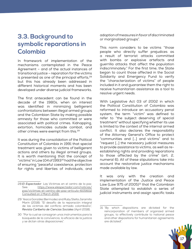#### **3.3. Background to symbolic reparations in Colombia**

In framework of implementation of the mechanisms contemplated in the Peace Agreement – and of the actual instances of transitional justice – reparation for the victims is presented as one of the principal efforts,<sup>28</sup> but this has already been addressed in different historical moments and has been developed under diverse judicial frameworks.

The first antecedent can be found in the decade of the 1980s, when an interest was identified in minimizing belligerent confrontations between illegal armed groups and the Colombian State by making possible amnesty for those who committed or were associated with political crimes. Kidnapping, extortion, homicides outside combat, and other crimes were exempt from this.<sup>29</sup>

It was during the consolidation of the Political Constitution of Colombia in 1991 that special treatment was given to victims of belligerent actions and others by illegal armed groups. It is worth mentioning that the concept of "victims" in Law 104 of 199330 had the objective of ensuring "peaceful coexistence, protection for rights and liberties of individuals, and

adoption of measures in favor of discriminated or marginalized groups".

This norm considers to be victims "those people who directly suffer prejudices as a result of terrorist attacks committed with bombs or explosive artefacts and guerrilla attacks that affect the population indiscriminately." For the first time, the State began to count those affected in the Social Solidarity and Emergency Fund to verify the "characterization of victims" of people included in it and guarantee them the right to receive humanitarian assistance as a tool to resolve urgent needs.

With Legislative Act 03 of 2002 in which the Political Constitution of Colombia was reformed to introduce an accusatory penal system, the term "victim" was defined to refer to "the subject deserving of special treatment" without specifying whether its use is limited to the context of the internal armed conflict. It also declares the responsibility of the Attorney General's Office to protect "communities and […] and victims" and to "request […] the necessary judicial measures to provide assistance to victims, as well as reestablishing rights and providing reparations to those affected by the crime" (art. 2, numeral 6). All of these stipulations take into account the restorative justice mechanisms made available by law.

It was only with the creation and implementation of the Justice and Peace Law (Law 975 of 2005) $^{31}$  that the Colombian State attempted to establish a series of judicial instruments and assign specific tasks

<sup>31</sup> "By which dispositions are dictated for the reincorporation of members of organized armed groups, to effectively contribute to national peace and other dispositions for humanitarian agreements are dictated".



<sup>28</sup> *El Espectador*. Las Víctimas en el centro de la paz. See[: https://www.elespectador.com/noticias/](https://www.elespectador.com/noticias/paz/victimas-el-centro-de-paz-articulo-605602) [paz/victimas-el-centro-de-paz-articulo-605602](https://www.elespectador.com/noticias/paz/victimas-el-centro-de-paz-articulo-605602) Consulted on 1 March 2019.

<sup>29</sup> Yesica González Bermúdez and Ruby Stella Jaramillo Marín (2018): "El desafío de la reparación integral de las víctimas del conflicto armado colombiano", *Revista Caribeña de Ciencias Sociales* (April 2018).

<sup>30 &</sup>quot;Por la cual se consagran unos instrumentos para la búsqueda de la convivencia, la eficacia de la justicia y se dictan otras disposiciones".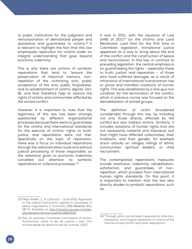to public institutions for the judgment and reincorporation of demobilized people and assistance and guarantees to victims.<sup>32</sup> It is relevant to highlight the fact that this law emphasizes reparation for victims under an integral understanding that goes beyond economic indemnity.

This is why there are actions of symbolic reparations that tend to "ensure the preservation of historical memory, nonrepetition of the victimizing acts, public acceptance of the acts, public forgiveness, and re-establishment of victims' dignity" (art. 8), and that therefore help to restore the rights of victims and communities affected by the armed conflict.

However, it is important to note that the legitimacy of this law has been strongly questioned by different organizational processes because there were no guarantees for the victims and international standards for the exercise of victims' rights to truth, justice, and reparations were not met. Specifically on the topic of reparation, there was a focus on individual reparations through the administrative route and without judicial processing of those responsible, so the relevance given to economic indemnity cancelled out attention to symbolic reparations or collective processes. 33

It was in 2011, with the issuance of Law 1448 of 2011<sup>34</sup> (or the Victims and Land Restitution Law) that for the first time in Colombian legislation, transitional justice appeared as a way to bring about the end of the conflict and the construction of peace and reconciliation. In this law, in contrast to preceding legislation, the central emphasis is on guaranteeing the rights – especially those to truth, justice, and reparation – of those who have suffered damages as a result of infractions of international humanitarian law or grave and manifest violations of human rights. This was established as a *sine qua non* condition for the termination of the conflict, which in previous norms was focused on the demobilization of armed groups.

The definition of victim broadened considerably through this law, by including not only those directly affected by the conflict but also indirect victims. Similarly, it includes violations of human rights that are not necessarily material and individual, but that might have affected collectivities, their traditions, and their gender, for example arson attacks on villages, killings of ethnic communities' spiritual leaders, or child recruitment.

The contemplated reparations measures include restitution, indemnity, rehabilitation, satisfaction, and guarantees of nonrepetition, which proceed from international human rights standards. On this point, it is important to mention that the law also directly alludes to symbolic reparations, such as:

<sup>32</sup> Mejía Walker, C. A. (January - June 2011). Approach to the judicial instruments applied to processes of peace negotiations in Colombia. *CES Derecho, 2*(1), 58-71. Available at: [http://revistas.ces.edu.co/index.](http://revistas.ces.edu.co/index.php/derecho/article/viewFile/1464/932) [php/derecho/article/viewFile/1464/932](http://revistas.ces.edu.co/index.php/derecho/article/viewFile/1464/932)

<sup>33</sup> See, for example, Colombian Commission of Jurists. Anotaciones sobre la ley de justicia y paz: Una mirada desde los derechos de las víctimas. 2007.

<sup>34</sup> "Through which are dictated measures for attention, assistance, and integral reparation to victims of the internal armed conflict and other dispositions."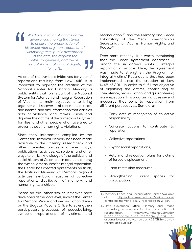*all efforts in favor of victims or the general community that tends to ensure the preservation of historical memory, non-repetition of victimizing acts, public acceptance of the acts, the request for public forgiveness, and the reestablishment of victims' dignity (art. 141).*

As one of the symbolic initiatives for victims' reparations resulting from Law 1448, it is important to highlight the creation of the National Center for Historical Memory, a public entity that forms part of the National System for Attention and Integral Reparation of Victims. Its main objective is to bring together and recover oral testimonies, texts, documents, and any information that clarifies acts of violence, and makes visible and dignifies the victims of the armed conflict, their families, and other people who have tried to prevent these human rights violations.

Since then, information compiled by the Center for Historical Memory has been made available to the citizenry, researchers, and other interested parties in different ways: publications, activities, exhibitions, and other ways to enrich knowledge of the political and social history of Colombia. In addition, among the symbolic measures for integral reparation, the Center has created agreements on truth, the National Museum of Memory, regional activities, symbolic measures of collective reparations, distribution of memory, and human rights archives.

Based on this, other similar initiatives have developed at the local level, such as the Center for Memory, Peace, and Reconciliation driven by the Bogota Mayor's Office to strengthen participatory processes of peacebuilding, symbolic reparations of victims, and

reconciliation,<sup>35</sup> and the Memory and Peace Laboratory of the Meta Governorship's Secretariat for Victims, Human Rights, and Peace.36

Even more recently, it is worth mentioning that the Peace Agreement addresses – among the six agreed points – integral reparation of victims. Here, the agreement was made to strengthen the Program for Integral Victims' Reparations that had been implemented since the creation of Law 1448 of 2011, in order to fulfill the objective of dignifying the victims, contributing to coexistence, reconciliation, and guaranteeing non-repetition. This program includes several measures that point to reparation from different perspectives. Some are:

- » Early acts of recognition of collective responsibility;
- » Concrete actions to contribute to reparation;
- » Collective reparations;
- » Psychosocial reparations;
- » Return and relocation plans for victims of forced displacement;
- » Land restitution measures;
- » Strengthening current spaces for participation.

<sup>36</sup> Meta Governor's Office. Memory and Peace Laboratory, a scenario for the construction of reconciliation[. http://www.meta.gov.co/web/](http://www.meta.gov.co/web/blog/laboratorio-de-memoria-y-paz-un-escenario-para-la-construcci%C3%B3n-de-la-reconciliaci%C3%B3n) [blog/laboratorio-de-memoria-y-paz-un](http://www.meta.gov.co/web/blog/laboratorio-de-memoria-y-paz-un-escenario-para-la-construcci%C3%B3n-de-la-reconciliaci%C3%B3n)[escenario-para-la-construcci%C3%B3n-de-la](http://www.meta.gov.co/web/blog/laboratorio-de-memoria-y-paz-un-escenario-para-la-construcci%C3%B3n-de-la-reconciliaci%C3%B3n)[reconciliaci%C3%B3n.](http://www.meta.gov.co/web/blog/laboratorio-de-memoria-y-paz-un-escenario-para-la-construcci%C3%B3n-de-la-reconciliaci%C3%B3n)



<sup>35</sup> Memory, Peace, and Reconciliation Center. Available at[: http://sitiosdememoria.org/es/institucion/](http://sitiosdememoria.org/es/institucion/centro-de-memoria-paz-y-reconciliacion-2_es/) [centro-de-memoria-paz-y-reconciliacion-2\\_es/.](http://sitiosdememoria.org/es/institucion/centro-de-memoria-paz-y-reconciliacion-2_es/)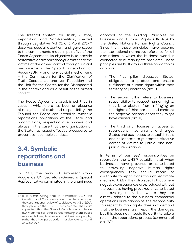The Integral System for Truth, Justice, Reparation, and Non-Repetition, created through Legislative Act 01 of 1 April 2017<sup>37</sup> deserves special attention, and gave scope to the commitments made in point five of the Peace Agreement. Its objective is to provide restorative and reparations guarantees to the victims of the armed conflict through judicial mechanisms – the Special Jurisdiction for Peace (SJP) – and non-judicial mechanisms – the Commission for the Clarification of Truth, Coexistence, and Non-Repetition and the Unit for the Search for the Disappeared in the context and as a result of the armed conflict.

The Peace Agreement established that in cases in which there has been an absence of recognition of truth and responsibility, the Tribunal for Peace can establish symbolic reparations obligations of the State and organizations, respecting due process and always in the case that the organization or the State has issued effective procedures to prevent sanctionable conduct.

#### **3.4. Symbolic reparations and business**

In 2011, the work of Professor John Ruggie as UN Secretary-General's Special Representative culminated in the unanimous approval of the Guiding Principles on Business and Human Rights (UNGPS) by the United Nations Human Rights Council. Since then, these principles have become the international normative reference for all discussions in which the business world is connected to human rights problems. These principles are built around three broad topics or pillars.

- » The first pillar discusses States' obligations to protect and ensure fulfillment of human rights within their territory or jurisdiction (art. 1).
- » The second pillar refers to business' responsibility to respect human rights, that is to abstain from infringing on the rights of third parties and confront the negative consequences they might have caused (art. 11).
- » The third pillar focuses on access to reparations mechanisms and urges States and businesses to establish tools and collaborate to guarantee effective access of victims to judicial and nonjudicial reparations.

In terms of business' responsibilities on reparation, the UNGP establish that when businesses have provoked or contributed to provoking negative human rights consequences, they should repair or contribute to reparations through legitimate means (art. 22). They also specify that where negative consequences are produced without the business having provoked or contributed to provoking them, but where they are directly related to the business' commercial operations or relationships, the responsibility to respect human rights does not demand that the business itself repair the damages, but this does not impede its ability to take a role in the reparations process (comment of art. 22).

<sup>37</sup> It is worth noting that in November 2017, the Constitutional Court announced the decision about the constitutional review of Legislative Act 01 of 2017, through which the ITJRNRS was created. The Court stipulated that the Special Jurisdiction for Peace (SJP) cannot call third parties (among them public representatives, businesses, and business people), rather that their participation must be voluntary and as witnesses.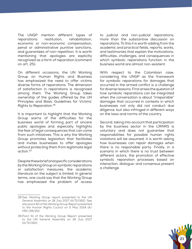The UNGP mention different types of reparations: restitution, rehabilitation, economic or non-economic compensation, penal or administrative punitive sanctions, and guarantees of non-repetition. It is worth mentioning that apologies are explicitly recognized as a form of reparation (comment on art. 25).

On different occasions, the UN Working Group on Human Rights and Business has emphasized the need to offer victims diverse forms of reparations. The dimension of satisfaction in reparations is recognized among them. The Working Group takes ownership of the guides offered by the UN Principles and Basic Guidelines for Victims' Rights to Reparation.38

It is important to highlight that the Working Group warns of the difficulties for the business world of forming part of sincere public apologies and, especially, highlights the fear of legal consequences that can come from such initiatives. This is why the Working Group promotes legislation that facilitates and invites businesses to offer apologies without protecting them from legitimate legal action.39

Despite these brief and specific considerations by the Working Group on symbolic reparations or satisfaction measures, the academic literature on the subject is limited. In general terms, one could say that the Working Group has emphasized the problem of access

to judicial and non-judicial reparations, more than the substantive discussion on reparations. To this it is worth adding from the academic and practical fields, reports, works, and testimonies that explain the motivations, difficulties, challenges, and consequences in which symbolic reparations function in the business world are almost non-existent.

With respect to the Colombian case, considering the UNGP as the framework for symbolic reparations for damages that occurred in the armed conflict is a challenge for diverse reasons. First arises the question of how symbolic reparations can be integrated when the conversation is about "irreparable" damages that occurred in contexts in which businesses not only did not conduct due diligence, but also infringed in different ways on the laws and norms of the country.

Second, taking into account that participation by the business sector in the IJRNRS is voluntary and does not guarantee that responsibilities for possible human rights violations will be assumed, it is worth asking how businesses can repair damages when there is no responsible party. Finally, in a scenario in which there is no trust between different actors, the promotion of effective symbolic reparation processes based on interaction, dialogue, and consensus present a challenge.



<sup>38</sup> See Working Group report presented to the UN General Assembly on 18 July 2017 (A/72/162). See also point 40 of the Working Group Report presented to the Human Rights Council on 5 May 2014 (A/ HRC/26/25).

<sup>39</sup> Point 51 of the Working Group Report presented to the UN General Assembly on 18 July 2017 (A/72/162).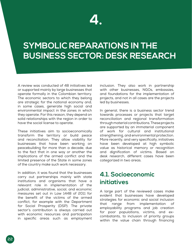### **4.**

### **SYMBOLIC REPARATIONS IN THE BUSINESS SECTOR: DESK RESEARCH**

A review was conducted of 48 initiatives led or supported mainly by large businesses that operate formally in the Colombian territory. The economic sectors to which they belong are strategic for the national economy and, in some cases, generate high social and environmental impact in the zones in which they operate. For this reason, they depend on solid relationships with the region in order to have the social license to operate.

These initiatives aim to socioeconomically transform the territory or build peace and reconciliation. They allow visibility for businesses that have been working on peacebuilding for more than a decade, due to the fact that in one way or another the implications of the armed conflict and the limited presence of the State in some zones of the country make such work necessary.

In addition, it was found that the businesses carry out partnerships mainly with state institutions and organisms that have a relevant role in implementation of the judicial, administrative, social, and economic measures set out in Law 1448 of 2011 for the benefit of the victims of the armed conflict, for example with the Department for Social Prosperity (DSP). The private sector's contribution is always carried out with economic resources and participation in specific areas such as employment inclusion. They also work in partnership with other businesses, NGOs, embassies, and foundations for the implementation of projects, and not in all cases are the projects led by businesses.

In general, there is a business sector trend towards processes or projects that target reconciliation and regional transformation through material contributions. These projects are supported by an immaterial component of work for cultural and institutional strengthening, and environmental protection. More recently, and very specifically, initiatives have been developed at high symbolic value as historical memory or recognition and dignification of victims. Based on desk research, different cases have been categorized in two areas.

#### **4.1. Socioeconomic initiatives**

A large part of the reviewed cases make evident that businesses have developed strategies for economic and social inclusion that range from implementation of employability programs and job creation for poor populations, victims, and excombatants, to inclusion of priority groups within the value chain through financing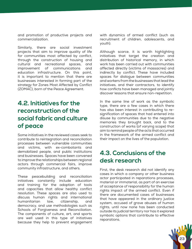and promotion of productive projects and commercialization.

Similarly, there are social investment projects that aim to improve quality of life for communities most affected by conflict, through the construction of housing and cultural and recreational spaces, and improvement of communications and education infrastructure. On this point, it is important to mention that there are businesses interested in forming part of the strategy for Zones Most Affected by Conflict (ZOMAC), born of the Peace Agreement.

#### **4.2. Initiatives for the reconstruction of the social fabric and culture of peace**

Some initiatives in the reviewed cases seek to contribute to reintegration and reconciliation processes between vulnerable communities and victims, with ex-combatants and demobilized people, and public institutions and businesses. Spaces have been convened to improve the relationships between regional actors through commercial fairs, improve community infrastructure, and others.

These peacebuilding and reconciliation initiatives constantly include education and training for the adoption of tools and capacities that allow healthy conflict resolution. These spaces are also used to discuss human rights and international humanitarian law, citizenship, and democracy, and use methodologies such as Schools of Forgiveness and Reconciliation. The components of culture, art, and sports are well used in this type of initiatives because they help to prevent engagement with dynamics of armed conflict (such as recruitment of children, adolescents, and youth).

Although scarce, it is worth highlighting initiatives that target the creation and distribution of historical memory, in which work has been carried out with communities affected directly (victims of massacres) and indirectly by conflict. These have included spaces for dialogue between communities and workers from the businesses that lead the initiatives, and their contractors, to identify how conflicts have been managed and jointly discover lessons that ensure non-repetition.

In the same line of work as the symbolic type, there are a few cases in which there has also been interest in contributing to resignification of spaces that had entered into disuse by communities due to the negative memories they brought back, and to the construction of works (of varying scope) that aim to remind people of the acts that occurred in the framework of the armed conflict and their impact on the lives of the population.

#### **4.3. Conclusions of the desk research**

First, the desk research did not identify any cases in which a company or other business actor participated in reparations processes, material or immaterial, as part of an exercise of acceptance of responsibility for the human rights impact of the armed conflict. Even if there are documented cases of businesses that have appeared in the ordinary justice system, accused of grave abuses of human rights, until now none has been conducted outside its judicial territory nor has it explored symbolic options that contribute to effective reparations.

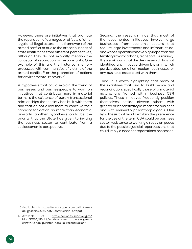However, there are initiatives that promote the reparation of damages or effects of other legal and illegal actors in the framework of the armed conflict or due to the precariousness of state institutions from different perspectives, although they do not explicitly mention the concepts of reparation or responsibility. One example of this are the historical memory processes with communities of victims of the armed conflict,<sup>40</sup> or the promotion of actions for environmental recovery.<sup>41</sup>

A hypothesis that could explain the trend of businesses and businesspeople to work on initiatives that contribute more in material terms is the existence of purely transactional relationships that society has built with them and that do not allow them to conceive their capacity for action as more than economic. Similarly, another hypothesis could be the priority that the State has given to inviting the business sector to contribute from a socioeconomic perspective.

Second, the research finds that most of the documented initiatives involve large businesses from economic sectors that require large investments and infrastructure, and whose operations have high impact on the territory (hydrocarbons, transport, or mining). It is well-known that the desk research has not identified any initiative driven by, or in which participated, small or medium businesses or any business associated with them.

Third, it is worth highlighting that many of the initiatives that aim to build peace and reconciliation, specifically those of a material nature, are framed within business CSR policies. These initiatives frequently position themselves beside diverse others with greater or lesser strategic impact for business and with eminently philanthropic goals. One hypothesis that would explain the preference for the use of the term CSR could be business sector resistance to working directly on peace due to the possible judicial repercussions that could imply a need for reparations processes.

<sup>40</sup> Available at: [https://www.isagen.com.co/informe](https://www.isagen.com.co/informe-de-gestion/2016/pdf/Construccion_paz.pdf)[de-gestion/2016/pdf/Construccion\\_paz.pdf](https://www.isagen.com.co/informe-de-gestion/2016/pdf/Construccion_paz.pdf)

<sup>41</sup> Available at: [http://nacionesunidas.org.co/](http://nacionesunidas.org.co/blog/2014/12/29/en-buenaventura-se-siguen-construyendo-puentes-para-la-reconciliacion/) [blog/2014/12/29/en-buenaventura-se-siguen](http://nacionesunidas.org.co/blog/2014/12/29/en-buenaventura-se-siguen-construyendo-puentes-para-la-reconciliacion/)[construyendo-puentes-para-la-reconciliacion/](http://nacionesunidas.org.co/blog/2014/12/29/en-buenaventura-se-siguen-construyendo-puentes-para-la-reconciliacion/)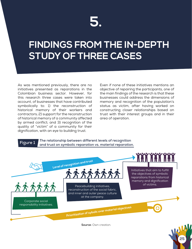### **5.**

### **FINDINGS FROM THE IN-DEPTH STUDY OF THREE CASES**

As was mentioned previously, there are no initiatives presented as reparations in the Colombian business sector. However, for this research three cases were taken into account, of businesses that have contributed symbolically to: 1) the reconstruction of historical memory of their workers and contractors; 2) support for the reconstruction of historical memory of a community affected by armed conflict; and 3) recognition of the quality of "victim" of a community for their dignification, with an eye to building trust.

Even if none of these initiatives mentions an objective of repairing the participants, one of the main findings of the research is that these businesses could address the dimensions of memory and recognition of the population's status as victim, after having worked on constructing closer relationships based on trust with their interest groups and in their area of operation.

#### **The relationship between different levels of recognition Figure 1** and trust on symbolic reparation vs. material reparation.



**Source:** Own creation.

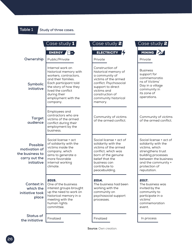**Table 1 Study of three cases.**

|                                                                             | Case study 1                                                                                                                                                                                                          | Case study $2$                                                                                                                                                                                        | Case study <b>2</b>                                                                                                                                                                        |
|-----------------------------------------------------------------------------|-----------------------------------------------------------------------------------------------------------------------------------------------------------------------------------------------------------------------|-------------------------------------------------------------------------------------------------------------------------------------------------------------------------------------------------------|--------------------------------------------------------------------------------------------------------------------------------------------------------------------------------------------|
|                                                                             | ENERGY <b>E</b> +                                                                                                                                                                                                     | <b>ELECTRICITY</b>                                                                                                                                                                                    | MINING AV                                                                                                                                                                                  |
| Ownership                                                                   | Public/Private                                                                                                                                                                                                        | Private                                                                                                                                                                                               | Private                                                                                                                                                                                    |
| Symbolic<br>initiative                                                      | Internal work on<br>historical memory with<br>workers, contractors,<br>and their families.<br>Each participant told<br>the story of how they<br>lived the conflict<br>during their<br>employment with the<br>company. | Construction of<br>historical memory of<br>a community of<br>victims of the armed<br>conflict. Psychosocial<br>support to direct<br>victims and<br>construction of<br>community historical<br>memory. | <b>Business</b><br>support for<br>commemoratio<br>ns of Victims'<br>Day in a village<br>community in<br>its zone of<br>operations.                                                         |
| <b>Target</b><br>audience                                                   | Employees and<br>contractors who are<br>victims of the armed<br>conflict during their<br>employment by the<br>business.                                                                                               | Community of victims<br>of the armed conflict.                                                                                                                                                        | Community of victims<br>of the armed conflict.                                                                                                                                             |
| Possible<br>motivation of<br>the business to<br>carry out the<br>initiative | Social license + act<br>of solidarity with the<br>victims inside the<br>company, which<br>aims to generate a<br>more favorable<br>internal working<br>climate.                                                        | Social license + act of<br>solidarity with the<br>victims of the armed<br>conflict, which was<br>born of the genuine<br>belief that the<br>business can<br>contribute to<br>peacebuilding.            | Social license + act of<br>solidarity with the<br>victims, which<br>strengthens trust<br>building processes<br>between the business<br>and the community +<br>protection of<br>reputation. |
| Context in<br>which the<br>initiative took<br>place                         | 2015.<br>One of the business<br>interest groups brought<br>up the need to work on<br>historical memory in a<br>meeting with the<br>human rights<br>committee.                                                         | 2014.<br>The business had been<br>working with the<br>community on<br>psychosocial support<br>processes.                                                                                              | 2017.<br>The business was<br>invited by the<br>community to<br>participate in a<br>victims'<br>commemoration<br>event.                                                                     |
| <b>Status of</b><br>the initiative                                          | Finalized                                                                                                                                                                                                             | Finalized                                                                                                                                                                                             | In process                                                                                                                                                                                 |

**Source:** Own creation.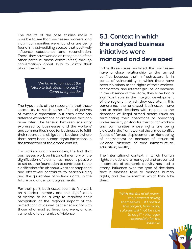The results of the case studies make it possible to see that businesses, workers, and victim communities were found or are being found in trust-building spaces that positively influence coexistence and reconciliation. There, they have worked on recognition of the other (state-business-communities) through conversations about how to jointly think about the future.

> *"We have to talk about the future to talk about the past" – Community Leader*

The hypothesis of the research is that these spaces try to reach some of the objectives of symbolic reparation, but each actor has different expectations of processes that can arise later. The tension between solidarity expressed by businesses and the workers' and communities' need for businesses to fulfill their reparations obligations is evident where there have been human rights infractions in the framework of the armed conflict.

For workers and communities, the fact that businesses work on historical memory or the dignification of victims has made it possible to set out the foundation to contribute to the clarification of truth about what has happened and effectively contribute to peacebuilding and the guarantee of victims' rights, in the future and under joint agreements.

For their part, businesses seem to find work on historical memory and the dignification of victims to be a way to manifest their recognition of the regional impact of the armed conflict, as well as their solidarity with those who most suffered and were, or are, vulnerable to dynamics of violence.

#### **5.1. Context in which the analyzed business initiatives were managed and developed**

In the three cases analyzed, the businesses have a close relationship to the armed conflict because their infrastructure is in zones of vulnerability in which there have been violations to the rights of their workers, contractors, and interest groups, or because in the absence of the State, they have had a significant role in the integral development of the regions in which they operate. In this panorama, the analyzed businesses have had to make decisions with respect to the demands of illegal armed actors (such as terminating their operations or operating under security protocols), the call for workers and communities whose rights are being violated in the framework of the armed conflict (cases of forced displacement or kidnapping of contractors) or because of structural violence (absence of road infrastructure, education, health).

The international context in which human rights violations are managed and prevented in contexts of economic activity has had a strong influence over the type of decisions that businesses take to manage human rights, and the moment in which they take them.

> *"With the fall of oil prices, they started asking themselves, - if I pursue this project, how many salaries will I not be able to pay?" - Manager responsible for the initiative*

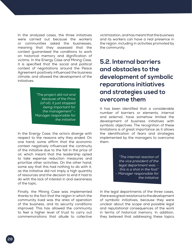In the analyzed cases, the three initiatives were carried out because the workers or communities asked the businesses, meaning that they assessed that the context guaranteed the conditions to work on historical memory and dignification of victims. In the Energy Case and Mining Case, it is specified that the social and political context of negotiations around the Peace Agreement positively influenced the business climate, and allowed the development of the initiatives.

> *"The project did not end because of the Price (of oil), it just stopped being important for the management" – Manager responsible for the initiative*

In the Energy Case, the actors diverge with respect to the reasons why they ended. On one hand, some affirm that the economic context negatively influenced the continuity of the initiative due to the fall in the price of oil, which meant that the leadership opted to take expense reduction measures and prioritize other activities. On the other hand, some say that this had nothing to do with it, as the initiative did not imply a high quantity of resources and the decision to end it had to do with the lack of interest in and awareness of the topic.

Finally, the Mining Case was implemented thanks to the fact that the region in which the community lived was the area of operation of the business, and its security conditions improved. This has allowed the community to feel a higher level of trust to carry out commemorations that allude to collective

victimization, and has meant that the business and its workers can have a real presence in the region, including in activities promoted by the community.

### **5.2. Internal barriers and obstacles to the development of symbolic reparations initiatives and strategies used to overcome them**

It has been identified that a considerable number of barriers or elements, internal and external, have somehow limited the development of business initiatives with symbolic objectives. The recognition of these limitations is of great importance as it allows the identification of fears and strategies implemented by the managers to overcome them.

> *"The internal reaction of the vice president of the legal department was: this is a shot in the foot" – Manager responsible for the initiative*

In the legal departments of the three cases, there was great resistance to the development of symbolic initiatives, because they were unclear about the scope and possible legal and reputational consequences of the work in terms of historical memory. In addition, they believed that addressing these topics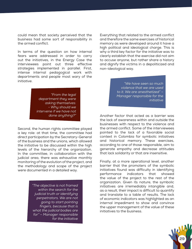could mean that society perceived that the business had some sort of responsibility in the armed conflict.

In terms of the question on how internal fears were addressed in order to carry out the initiatives, in the Energy Case the interviewees point out three effective strategies implemented in parallel. First, intense internal pedagogical work with departments and people most wary of the initiative.

> *"From the legal department they were asking themselves: - Why should we intervene if we have not done anything?"*

Second, the human rights committee played a key role: at that time, the committee had direct participation by the Secretary-General of the business and the unions, which allowed the initiative to be discussed within the high levels of the hierarchy of the organization. In the committee, in collaboration with the judicial area, there was exhaustive monthly monitoring of the evolution of the project, and the methodology and scope of the project were documented in a detailed way.

> *"The objective is not framed within the search for the judicial truth or identifying perpetrators. We are not going to start pointing fingers, because that is what the judicial bodies are for" – Manager responsible for the initiative*

Everything that related to the armed conflict and therefore the same exercises of historical memory as were developed around it have a high political and ideological charge. This is why a third key factor for the initiative was to clearly establish that the exercise did not aim to accuse anyone, but rather share a history and dignify the victims in a depoliticized and non-ideological way.

> *"We have seen so much violence that we are used to it. We are anesthetized" – Manager responsible for the initiative*

Another factor that acted as a barrier was the lack of awareness within and outside the businesses with respect to the violence and the armed conflict. Some of the interviewees pointed to the lack of a favorable social context in Colombia for symbolic initiatives and historical memory. These exercises, according to one of those responsible, aim to generate empathy and decrease attitudes that lack solidarity or that are insensitive.

Finally, at a more operational level, another barrier that the promoters of the symbolic initiatives found was difficulty in identifying performance indicators that showed the value of the project to the rest of the organization. Given its nature, the symbolic initiatives are irremediably intangible and, as a result, their impact is difficult to quantify and translate to a table of results. The lack of economic indicators was highlighted as an internal impediment to show and convince the upper management of the value of these initiatives to the business.

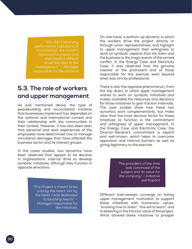*"We didn't have any performance indicators (of the initiative). We couldn't measure the impact and that made it difficult to sell the idea to the management." – Manager responsible for the initiative*

#### **5.3. The role of workers and upper management**

As was mentioned above, the type of peacebuilding and reconciliation initiative that businesses implement has depended on the national and international context and their relationship with the communities in their context. However, it has also been seen that personal and work experiences of the employees have determined how to manage immaterial damages that have affected the business sector and its interest groups.

In the cases studied, two dynamics have been observed that appear to be decisive in organizations' internal drive to develop symbolic initiatives, although they function in opposite directions.

> *"This Project is meant to be sold by the heart, not by the head, I was dedicated to touching hearts" – Manager responsible for the initiatives*

On one hand, a bottom-up dynamic in which the workers drive the project directly or through union representatives, and highlight to upper management their willingness to work on symbolic aspects that link them and the business to the tragic events of the armed conflict. In the Energy Case and Electricity Case, it was observed how the genuine interest of the promoters and of those responsible for the exercise went beyond what was strictly professional.

There is also the opposite phenomenon, from the top down, in which upper management wishes to work on symbolic initiatives and makes available the resources and decisions for those initiatives to gain traction internally. The case studies show how these two dynamics work complementarily, but make clear that the most decisive factor for these initiatives to function is the commitment and willingness of upper management. In the Energy Case and Electricity Case, the Director-General's commitment is explicit and well-known, which helps to overcome opposition and internal barriers as well as giving legitimacy to the exercise.

> *"The president of the time was convinced of the subject and its value for the company" – Initiative participant*

Different interviewees converge on linking upper management' motivation to support these initiatives with humanistic values, "knowing how to listen", "the will to learn", and to believing in the intrinsic value of the project. What allowed these initiatives to prosper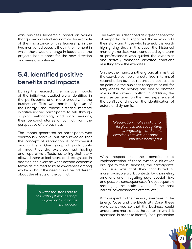was business leadership based on values that go beyond strict economics. An example of the importance of this leadership in the two mentioned cases is that in the moment in which there was a change in leadership, the projects lost support for the new direction and were discontinued.

#### **5.4. Identified positive benefits and impacts**

During the research, the positive impacts of the initiatives studied were identified in the participants and, more broadly, in the businesses. This was particularly true of the Energy Case, whose historical memory initiative invited participants to tell, through a joint methodology and work sessions, their personal stories of conflict from the perspective of the business.

The impact generated on participants was enormously positive, but also revealed that the concept of reparation is controversial among them. One group of participants affirmed that the exercises had healing and reparative effects, as telling their story allowed them to feel heard and recognized. In addition, the exercise went beyond economic terms as it aimed to raise awareness among workers about the need to not be indifferent about the effects of the conflict.

> *"To write the story and to cry writing it was healing, dignifying" – Initiative participant*

The exercise is described as a great generator of empathy that impacted those who told their story and those who listened. It is worth highlighting that in this case, the historical memory exercises were conducted by a team of professionals who guided the dynamics and actively managed elevated emotions resulting from the exercises.

On the other hand, another group affirms that the exercise can be characterized in terms of reconciliation but not reparation, because at no point did the business recognize or ask for forgiveness for having had one or another role in the armed conflict. In addition, the exercise centered on the lived experience of the conflict and not on the identification of actors and dynamics.

> *"Reparation implies asking for forgiveness and recognizing wrongdoing – and in this exercise, that was not done" – Initiative participant*

With respect to the benefits that implementation of these symbolic initiatives brought to the businesses, the participants' conclusion was that they contributed to more favorable work contexts by channeling emotions and mitigating psychosocial risks and possible consequences of not adequately managing traumatic events of the past (stress, psychosomatic effects, etc.)

With respect to the memory exercises in the Energy Case and the Electricity Case, these were conceived so that the business could understand more about the context in which it operated, in order to identify "self-protection

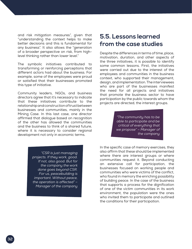and risk mitigation measures", given that "understanding the context helps to make better decisions and this is fundamental for any business". It also allows the "generation of a broader perspective on risk, from highlevel thinking rather than lower level."

The symbolic initiatives contributed to transforming or reinforcing perceptions that different actors had about the business. For example, some of the employees were proud or satisfied that their businesses promoted this type of initiative.

Community leaders, NGOs, and business directors agree that it's necessary to indicate that these initiatives contribute to the relationship and construction of trust between businesses and communities, mainly in the Mining Case. In this last case, one director affirmed that dialogue based on recognition of the other has allowed the communities and the business to think of a shared future, where it is necessary to consider regional development not only in economic terms.

> *"CSR is just managing projects. If they work, good. If not, also good. But for the company the work done goes beyond CSR. For us, peacebuilding is important. Without peace, the operation is affected" – Manager of the company*

#### **5.5. Lessons learned from the case studies**

Despite the differences in terms of time, place, motivation, duration, and other aspects of the three initiatives, it is possible to identify some common lessons. First, the initiatives were carried out due to the interest of the employees and communities in the business context, who supported their management, design, and implementation. The interviewees who are part of the businesses manifest the need for all projects and initiatives that promote the business sector to have participation by the public towards whom the projects are directed, the interest groups.

> *"The community has to be able to participate and be critical of everything that we propose" – Manager of the company*

In the specific case of memory exercises, they also affirm that these should be implemented where there are interest groups or where communities request it. Beyond conducting an extensive call for participation, the businesses focused on working people and communities who were victims of the conflict, who found in memory the enriching possibility of building peace. In the case of the business that supports a process for the dignification of one of the victim communities in its work environment, the population were the ones who invited them to participate and outlined the conditions for their participation.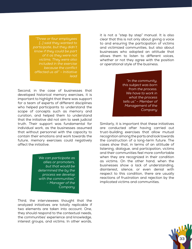*"Three or four employees […] said they wanted to participate, but they didn't know if they could be part of it as they were not victims. They were also included in the exercise because the conflict affected us all" – Initiative lead*

Second, in the case of businesses that developed historical memory exercises, it is important to highlight that there was support for a team of experts of different disciplines who helped participants to understand the scope of concepts such as memory and curation, and helped them to understand that the initiative did not aim to seek judicial truth. Their support was fundamental for individual work, as the businesses assumed that without personnel with the capacity to contain their emotions and work towards the future, memory exercises could negatively affect the initiative.

> *We can participate as allies or promoters, but that would be determined the by the process we develop with the communities" – Manager of the Company*

Third, the interviewees thought that the analyzed initiatives are totally replicable if two elements are taken into account. One, they should respond to the contextual needs, the communities' experience and knowledge, interest groups, and victims. In other words,

it is not a "step by step" manual. It is also clear that this is not only about giving a voice to and ensuring the participation of victims and victimized communities, but also about businesses who adopted an attitude that allows them to listen to different voices, whether or not they agree with the position or operational style of the business.

> *"In the community, this subject was born from the process. We have to work in what the process tells us" – Member of Management of the Company*

Similarly, it is important that these initiatives are conducted after having carried out trust-building exercises that allow mutual recognition among the parts and look towards the construction of a long-term future. The cases show that, in terms of an attitude of listening, dialogue, and participation, victims and their communities feel more comfortable when they are recognized in their condition as victims. On the other hand, when the businesses show a lack of understanding, disinterest, silence, or even denial with respect to this condition, there are usually reactions of frustration and rejection by the implicated victims and communities.

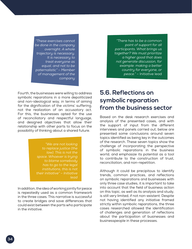*"There has to be a common point of support for all participants. What brings us together? We must prioritize a higher good that does not generate discussion, for example: making a better country for everyone, or peace."* – Initiative lead

*"These exercises cannot be done in the company overnight. A whole trajectory is necessary. It is necessary to treat everyone as equal, and not to be paternalistic" – Member of management of the company*

Fourth, the businesses were willing to address symbolic reparations in a more depoliticized and non-ideological way, in terms of aiming for the dignification of the victims' suffering, not the realization of an accusatory act. For this, the businesses opted for the use of reconciliatory and respectful language, and designed objectives that allow their relationship with other parts to focus on the possibility of thinking about a shared future.

> *"We are not looking to replace justice (the law). This is not the space. Whoever is trying to blame somebody has to go to the legal institutions, this is not their initiative" – Initiative lead*

In addition, the idea of working jointly for peace is repeatedly used as a common framework in the three cases. This narrative is successful to create bridges and save differences that could exist between the parts who participate in the initiative.

#### **5.6. Reflections on symbolic reparation from the business sector**

Based on the desk research exercises and analysis of the presented cases, and with the support of input from the different interviews and panels carried out, below are presented some conclusions around seven topics identified as being key in the outcomes of the research. These seven topics show the challenge of incorporating the perspective of symbolic reparations in the business world, and emphasize its potential as a tool to contribute to the construction of trust, reconciliation, and non-repetition.

Although it could be precipitous to identify trends, common practices, and reflections on symbolic reparations and businesses with only three case studies, it is important to take into account that the field of business action on this topic, as well as its analysis and study, is still very limited, if not non-existent. Despite not having identified any initiative framed strictly within symbolic reparations, the three cases researched allowed the identification of challenges and generation of reflections about the participation of businesses and businesspeople in these processes.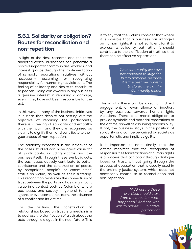#### **5.6.1. Solidarity or obligation? Routes for reconciliation and non-repetition**

In light of the desk research and the three analyzed cases, businesses can generate a positive impact for communities, workers, and interest groups through the implementation of symbolic reparations initiatives, without necessarily assuming or recognizing responsibility for human rights violations. The feeling of solidarity and desire to contribute to peacebuilding can awaken in any business a genuine interest in repairing a damage, even if they have not been responsible for the act.

In this way, in many of the business initiatives it is clear that despite not setting out the objective of repairing the participants, there is a feeling of solidarity and empathy with their pain, and they are recognized as victims to dignify them and contribute to their guarantees of non-repetition.

The solidarity expressed in the initiatives of the cases studied can have great value for all participants, including victims and the business itself. Through these symbolic acts, the businesses actively contribute to better coexistence and the construction of peace, by recognizing people's or communities' status as victim, as well as their suffering. This recognition reinforces the connections of trust between the parts and has a significant value in a context such as Colombia, where businesses and society in general tend to ignore, or even sometimes deny, the existence of a conflict and its victims.

For the victims, the construction of relationships based on trust is a mechanism to address the clarification of truth about the acts, through dialogue in the near future. This is to say that the victims consider that where it is possible that a business has infringed on human rights, it is not sufficient for it to express its solidarity, but rather it should contribute to the clarification of truth so that there can be effective reparations.

> *"As a community we have not appealed to litigation but to dialogue, because it is the best mechanism to clarify the truth" – Community leader*

This is why there can be direct or indirect engagement, or even silence or inaction, by any business, towards human rights violations. There is a moral obligation to provide symbolic and material reparations to the victims, as well as assuming responsibility. If not, the business stays in the position of solidarity and can be perceived by society as opportunistic and implicitly guilty.

It is important to note, finally, that the victims manifest that the recognition of responsibilities for infractions of human rights is a process that can occur through dialogue based on trust, without going through the process of accusation that is usually used in the ordinary justice system, which does not necessarily contribute to reconciliation and non-repetition.

> *"Addressing these exercises should start from the question: what happened? And not: who was to blame?" - Initiative participant*

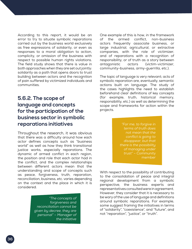According to this report, it would be an error to try to situate symbolic reparations carried out by the business world exclusively as free expressions of solidarity, or even as responses to a moral obligation to action, complicity, or omission of the business with respect to possible human rights violations. The field study shows that there is value in both approaches when they are set out jointly: solidarity as a path that opens doors to trust building between actors and the recognition of pain suffered by victimized individuals and communities.

#### **5.6.2. The scope of language and concepts for the participation of the business sector in symbolic reparations initiatives**

Throughout the research, it was obvious that there was a difficulty around how each actor defines concepts such as "business world" as well as how they think transitional justice works, especially reparations. The dynamic of armed conflict in each region, the position and role that each actor had in the conflict, and the complex relationships between different actors mean that the understanding and scope of concepts such as peace, forgiveness, truth, reparation, reconciliation, business, etc. varies depending on the context and the place in which it is considered.

> *"The concepts of forgiveness and reconciliation cannot be given by decree, they are personal" – Manager of the initiative*

One example of this is how, in the framework of the armed conflict, non-business actors frequently associate business, or large industrial, agricultural, or extractive companies, with the role of victimizer, and of reparations with a recognition of responsibility, or of truth as a story between antagonistic actors (victim-victimizer, community-business, army-guerrilla, etc.).

The topic of language is very relevant; acts of symbolic reparation are, eventually, semantic actions built on language. The study of the cases highlights the need to establish beforehand clear definitions of key concepts (for example, truth, historical memory, responsibility, etc.) as well as determining the scope and frameworks for action within the projects.

> *"For me, to forgive in terms of truth does not mean that the conflict is going to disappear, but that there is the possibility of managing under trust"* – Community member

With respect to the possibility of contributing to the consolidation of peace and integral regional development from a symbolic perspective, the business experts and representatives consulted were in agreement. However, they consider that it is necessary to be wary of the use of language and definitions around symbolic reparations. For example, some suggest framing the initiatives in terms of "solidarity", "coexistence", and "future", and not "reparation", "justice", or "truth".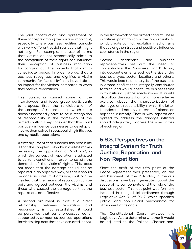The joint construction and agreement of these concepts among the parts is important, especially where business realities coincide with very different social realities that might not align. For example, the use of terms that victims do not semantically relate to the recognition of their rights can influence their perception of business motivation for carrying out the projects that aim to consolidate peace. In order words, that a business recognizes and dignifies a victim community for "solidarity" can have little or no impact for the victims, compared to when they receive reparations.

This panorama caused some of the interviewees and focus group participants to propose, first, the re-elaboration of the concept of reparation, in which there doesn't necessarily have to be a recognition of responsibility in the framework of the armed conflict. They consider that this could positively influence businesses to develop or involve themselves in peacebuilding initiatives and symbolic reparations.

A first argument that sustains this possibility is that the complex Colombian context makes necessary the application of "soft law", in which the concept of reparation is adapted to current conditions in order to satisfy the demands of the victims' rights. This does not mean that the damage should not be repaired in an objective way, or that it should be done as a result of altruism, as it can be insisted that the means of reparation can be built and agreed between the victims and those who caused the damage so that the reparations are effective.

A second argument is that if a direct relationship between reparation and responsibility is not established, it could be perceived that some processes led or supported by companies count as reparations for victimizing acts that have occurred, or not,

in the framework of the armed conflict. These initiatives point towards the opportunity to jointly create conflict resolution mechanisms that strengthen trust and positively influence coexistence in the region.

Second, academics and business representatives set out the need to conceptualize the "business world", taking into account elements such as the size of the business, type, sector, location, and others. This would lead to an analysis of the business in armed conflict that integrally contributes to truth, and would incentivize business trust in transitional justice mechanisms. It would also allow the realization of a more reflexive exercise about the characterization of damages and responsibility in which the latter is understood not only in terms of blame, as happens currently. That is why reparations agreed to address the damage inflicted should adequately address the specificities of each region.

#### **5.6.3. Perspectives on the Integral System for Truth, Justice, Reparation, and Non-Repetition**

Since the draft of the fifth point of the Peace Agreement was presented, on the establishment of the ISTJRNR, numerous discussions have been generated about the scope of its components and the role of the business sector. This last point was formally included in the judicial ordinance through Legislative Act 01 of 2017, which specified judicial and non-judicial mechanisms for attainment of its goals.

The Constitutional Court reviewed this Legislative Act to determine whether it would be adjusted to the Political Charter and,

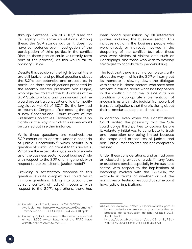through Sentence 674 of 2017,<sup>42</sup> ruled for its legality with some stipulations. Among these, the SJP stands out as it does not have competence over investigation of the participation of third parties in the conflict (though these parties could voluntarily form part of the process), as this would fall to ordinary justice.

Despite this decision of the high tribunal, there are still judicial and political questions about the SJP's competencies and procedures. In particular, there are objections presented by the recently elected president Ivan Duque, who objected to six of the 159 articles of the SJP Statutory Law and announced that he would present a constitutional law to modify Legislative Act 01 of 2017. So the law had to return to Congress after passing through a new Constitutional Court review of the President's objectives. However, there is no clarity on the way in which this review would be carried out in either instance.

While these questions are resolved, the SJP continues to operate under a scenario of judicial uncertainty, $43$  which results in a question of particular interest to this analysis: What are the expectations, as much of society as of the business sector, about business' role with respect to the SJP and, in general, with respect to the transitional justice model?

Providing a satisfactory response to this question is quite complex and could result in more questions. Taking into account the current context of judicial insecurity with respect to the SJP's operations, there has

been broad speculation by all interested parties, including the business sector. This includes not only the business people who were directly or indirectly involved in the deepening of the conflict, but also those who were victims of violent acts such as kidnappings, and those who wish to develop strategies to contribute to peacebuilding.

The fact that there is still no complete clarity about the way in which the SJP will carry out its mandate is slowing down the dialogue with certain business sectors, who have been reticent in talking about what has happened in the conflict. Of course, a *sine qua non* condition for appropriate implementation of mechanisms within the judicial framework of transitional justice is that there is clarity about their procedures, scope, and implications.

In addition, even when the Constitutional Court limited the possibility that the SJP could oblige third parties to appear before it, voluntary initiatives to contribute to truth and reparation are being limited because the scope and procedures of judicial and non-judicial mechanisms are not completely defined.

Under these considerations, and as had been anticipated in previous analysis,<sup>44</sup> many fears or questions persist, especially in the business sector, with respect to the implications of becoming involved with the ISTJRNR, for example in terms of whether or not the narratives or testimonies could at some point have judicial implications.

<sup>42</sup> Constitutional Court, Sentence C-674/2017. Available at: [https://www.jep.gov.co/Documents/](https://www.jep.gov.co/Documents/Transparencia/383809236-C-674-de-2017.pdf) [Transparencia/383809236-C-674-de-2017.pdf](https://www.jep.gov.co/Documents/Transparencia/383809236-C-674-de-2017.pdf)

<sup>43</sup> Currently, 1,958 members of the armed forces and almost 3,500 ex-combatants of the FARC have admitted themselves to the SJP.

<sup>44</sup> See, for example, "Retos y Oportunidades para el involucramiento de empresas y comunidades en procesos de construcción de paz", CREER 2018. Available at:

[https://docs.wixstatic.com/ugd/134a42\\_78d-](https://docs.wixstatic.com/ugd/134a42_78d7817347b54e4880a49c99870f8468.pdf)[7817347b54e4880a49c99870f8468.pdf](https://docs.wixstatic.com/ugd/134a42_78d7817347b54e4880a49c99870f8468.pdf)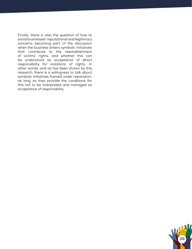Finally, there is also the question of how to avoid businesses' reputational and legitimacy concerns becoming part of the discussion when the business enters symbolic initiatives that contribute to the reestablishment of victims' rights, and whether this can be understood as acceptance of direct responsibility for violations of rights. In other words, and as has been shown by this research, there is a willingness to talk about symbolic initiatives framed under reparation, as long as they provide the conditions for this not to be interpreted and managed as acceptance of responsibility.

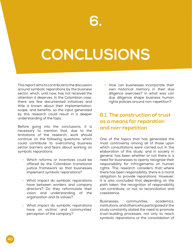# **CONCLUSIONS**

This report aims to contribute to the discussion around symbolic reparations by the business sector, which, until now, has not received the attention it deserves. In the Colombian case, there are few documented initiatives and little is known about their implementation, scope, and benefits, so the input generated by this research could result in a deeper understanding of the topic.

Before going into the conclusions, it is necessary to mention that, due to the limitations of the research, work should continue on the following questions, which could contribute to overcoming business sector barriers and fears about working on symbolic reparations.

- » Which reforms or incentives could be offered by the Colombian transitional justice framework so that businesses implement symbolic reparations?
- » What impact do symbolic reparations have between workers and company directors? Do they reformulate their vision and understanding of the organization and its values?
- » What impact do symbolic reparations have on victims' and communities' perception of the company?

» How can businesses incorporate their own historical memory in their due diligence exercises? In what way can due diligence shape business human rights policies around non-repetition?

#### **6.1. The construction of trust as a means for reparation and non-repetition**

One of the topics that has generated the most controversy among all of those upon which consultations were carried out in the elaboration of this study, and in society in general, has been whether or not there is a need for businesses to openly recognize their responsibility for infringements on human rights. This research considers that where there has been responsibility, there is a moral obligation to provide reparations. However, it is also concluded that depending on the path taken, the recognition of responsibility can contribute, or not, to reconciliation and coexistence.

Businesses, communities, academics, institutions, and others who participated in the study constantly stated the need to promote trust-building processes, not only to reach symbolic reparations or the consolidation of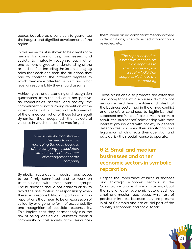peace, but also as a condition to guarantee the integral and dignified development of the region.

In this sense, trust is shown to be a legitimate means for communities, businesses, and society to mutually recognize each other and achieve a greater understanding of the armed conflict, including the (often changing) roles that each one took, the situations they had to confront, the different degrees to which they were affected or hurt, and what level of responsibility they should assume.

Achieving this understanding and recognition guarantees, from the individual perspective, as communities, sectors, and society, the commitment to not allowing repetition of the violent acts that occurred in the framework of the armed conflict or of those (often legal) dynamics that deepened the structural violence in which the conflict was forged.

> *"The risk evaluation showed the need to work on managing the past, because of the company's association with the conflict" – Member of management of the company*

Symbolic reparations require businesses to be firmly committed and to work on trust-building with their interest groups. The businesses should not address or try to avoid the assumption of responsibility when there is responsibility, or participation in reparations that mean to be an expression of solidarity or a genuine form of accountability and recognition of possible responsibility. This implies that they permanently run the risk of being labeled as victimizers: when a community or civil society actor denounces

them, when an ex-combatant mentions them in declarations, when classified information is revealed, etc.

> *"The report helped as a pressure mechanism for companies to start addressing the issue" – NGO that supports victims in the community*

These situations also promote the extension and acceptance of discourses that do not recognize the different realities and roles that the business sector had in the armed conflict and therefore continues to legitimize their supposed and "unique" role as victimizer. As a result, the businesses' relationship with their interest groups and with society in general deteriorates, as does their reputation and legitimacy, which affects their operation and puts at risk their social license to operate.

#### **6.2. Small and medium businesses and other economic sectors in symbolic reparation**

Despite the importance of large businesses and strategic economic sectors in the Colombian economy, it is worth asking about the role of other economic actors such as small and medium businesses, which are of particular interest because they are present in all of Colombia and are crucial part of the country's economic and social fabric.

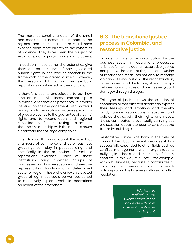The more personal character of the small and medium businesses, their roots in the regions, and their smaller size could have exposed them more directly to the dynamics of violence. They have been the subject of extortions, kidnappings, murders, and others.

In addition, these same characteristics give them a greater chance of having violated human rights in one way or another in the framework of the armed conflict. However, this research did not find any symbolic reparations initiative led by these actors.

It therefore seems unavoidable to ask how small and medium businesses can participate in symbolic reparations processes. It is worth insisting on their engagement with material and symbolic reparations processes, which is of great relevance to the guarantee of victims' rights and to reconciliation and regional consolidation of peace, taking into account that their relationship with the region is much closer than that of large companies.

It is also worth asking about the role that chambers of commerce and other business groupings can play in peacebuilding, and specifically in the promotion of symbolic reparations exercises. Many of these institutions bring together groups of businesses and businesspeople, and exercise representation functions of a determined sector or region. Those who enjoy an elevated grade of legitimacy could be well positioned to collectively explore symbolic reparations on behalf of their members.

#### **6.3. The transitional justice process in Colombia, and restorative justice**

In order to incentivize participation by the business sector in reparations processes, it is useful to include a restorative justice perspective that aims at the joint construction of reparations measures not only to manage violation of laws, but also the reconstruction, in the present and the future, of relationships between communities and businesses (social damage) through dialogue.

This type of justice allows the creation of conditions so that different actors can express their feelings and emotions and thereby jointly create reparations measures and policies that satisfy their rights and needs. It also contributes to eventually carrying out a discussion about the past to construct the future by building trust.

Restorative justice was born in the field of criminal law, but in recent decades it has successfully expanded to other fields such as conflict management within organizations, bullying in schools, and resolution of family conflicts. In this way it is useful, for example, within businesses, because it contributes to improving the indexes of occupational health or to improving the business culture of conflict resolution.

> *"Workers, in wellbeing, are twenty times more productive than in distress" – Initiative participant*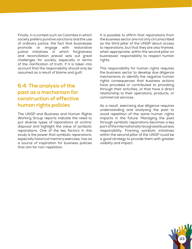Finally, in a context such as Colombia in which society prefers punitive sanctions and the use of ordinary justice, the fact that businesses promote or engage with restorative justice initiatives in which forgiveness and reconciliation prevail sets out great challenges for society, especially in terms of the clarification of truth, if it is taken into account that the responsibility should only be assumed as a result of blame and guilt.

#### **6.4. The analysis of the past as a mechanism for construction of effective human rights policies**

The UNGP and Business and Human Rights Working Group reports indicate the need to put diverse types of reparations at victims' disposal and highlight the value of symbolic reparations. One of the key factors in this study is the power that symbolic reparations, especially historical memory exercises, has as a source of inspiration for business policies that aim for non-repetition.

It is possible to affirm that reparations from the business sector are not only circumscribed as the third pillar of the UNGP about access to reparations, but that they are also framed, when appropriate, within the second pillar on businesses' responsibility to respect human rights.

This responsibility for human rights requires the business sector to develop due diligence mechanisms to identify the negative human rights consequences that business actions have provoked or contributed to provoking through their activities, or that have a direct relationship to their operations, products, or commercial services.

As a result, exercising due diligence requires understanding and analyzing the past to avoid repetition of the same human rights impacts in the future. Managing the past through symbolic reparations becomes a key part of the internationally recognized business responsibility. Framing symbolic initiatives within the second pillar of the UNGP could be a good strategy to provide them with greater visibility and impact.

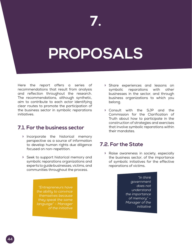### **PROPOSALS**

Here the report offers a series of recommendations that result from analysis and reflection throughout the research. The recommendations, although synthetic, aim to contribute to each actor identifying clear routes to promote the participation of the business sector in symbolic reparations initiatives.

#### **7.1. For the business sector**

- » Incorporate the historical memory perspective as a source of information to develop human rights due diligence focused on non-repetition.
- » Seek to support historical memory and symbolic reparations organizations and experts to guide businesses, victims, and communities throughout the process.

*"Entrepreneurs have the ability to convince themselves because they speak the same language" – Manager of the initiative*

- » Share experiences and lessons on symbolic reparations with other businesses in the sector, and through business organizations to which you belong.
- » Consult with the SJP and the Commission for the Clarification of Truth about how to participate in the construction of strategies and exercises that involve symbolic reparations within their mandates.

#### **7.2. For the State**

» Raise awareness in society, especially the business sector, of the importance of symbolic initiatives for the effective reparations of victims.

> *"In think government does not understand the importance of memory" – Manager of the initiative*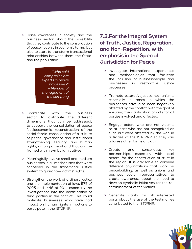» Raise awareness in society and the business sector about the possibility that they contribute to the consolidation of peace not only in economic terms, but also to start to transform transactional relationships between them, the State, and the population.

> *"Who said companies are experts in peace processes?" – Member of management of the company*

- » Coordinate with the business sector to distribute the different dimensions that can be addressed, to support the consolidation of peace (socioeconomic, reconstruction of the social fabric, consolidation of a culture of peace, governance and institutional strengthening, security, and human rights, among others) and that can be framed within symbolic initiatives.
- » Meaningfully involve small and medium businesses in all mechanisms that were conceived in the transitional justice system to guarantee victims' rights.
- » Strengthen the work of ordinary justice and the implementation of laws 975 of 2005 and 1448 of 2011, especially the investigations into the participation of third parties in the conflict. This could motivate businesses who have had impact on human rights infractions to participate in the ISTJRNR.

#### **7.3.For the Integral System of Truth, Justice, Reparation, and Non-Repetition, with emphasis in the Special Jurisdiction for Peace**

- » Investigate international experiences and methodologies that facilitate the inclusion of businesspeople and businesses in restorative justice processes.
- » Promote restorative justice mechanisms, especially in zones in which the businesses have also been negatively affected by the conflict, with the goal of ensuring the clarification of acts for all parties involved and affected.
- » Engage actors who are not victims, or at least who are not recognized as such but were affected by the war, in activities of the ISTJRNR so they can address other forms of truth.
- » Create and consolidate key partnerships, especially with local actors, for the construction of trust in the region. It is advisable to convene different organizations that work on peacebuilding, as well as unions and business sector representatives, to create awareness about the need to develop symbolic initiatives for the reestablishment of the victims.
- » Generate clarity for all interested parts about the use of the testimonies contributed to the ISTJRNR.

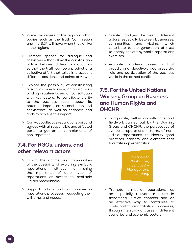- » Raise awareness of the approach that bodies such as the Truth Commission and the SJP will have when they arrive in the regions.
- » Promote spaces for dialogue and coexistence that allow the construction of trust between different social actors so that the truth can be a product of a collective effort that takes into account different positions and points of view.
- » Explore the possibility of constructing a soft law mechanism, or public nonbinding initiative based on consultation with key actors, to contribute clarity to the business sector about its potential impact on reconciliation and coexistence, as well as channels and tools to achieve this impact.
- » Carry out collective reparations built and agreed with all responsible and affected parts, to guarantee commitments of non-repetition.

#### **7.4. For NGOs, unions, and other relevant actors**

- » Inform the victims and communities of the possibility of exploring symbolic reparations without diminishing the importance of other types of reparations or access to available judicial mechanisms.
- » Support victims and communities in reparations processes, respecting their will, time, and needs.
- » Create bridges between different actors, especially between businesses, communities, and victims, which contribute to the generation of trust to openly set out symbolic reparations exercises.
- » Promote academic research that broadly and objectively addresses the role and participation of the business world in the armed conflict.

#### **7.5. For the United Nations Working Group on Business and Human Rights and OHCHR**

» Incorporate, within consultations and fieldwork carried out by the Working Group and OHCHR, the perspective of symbolic reparations in terms of nonjudicial reparations, to identify good practices, barriers, and elements that facilitate implementation.

> *"We have to think of key Manager of a company*

» Promote symbolic reparations as an especially relevant measure in transitional justice contexts and as an effective way to contribute to post-conflict reconciliation processes, through the study of cases in different scenarios and economic sectors.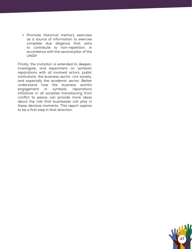» Promote historical memory exercises as a source of information to exercise complete due diligence that aims to contribute to non-repetition, in accordance with the second pillar of the UNGP.

Finally, the invitation is extended to deepen, investigate, and experiment on symbolic reparations with all involved actors, public institutions, the business sector, civil society, and especially the academic sector. Better understand how the business world's engagement in symbolic reparations initiatives in all societies transitioning from conflict to peace can provide more ideas about the role that businesses can play in these decisive moments. This report aspires to be a first step in that direction.

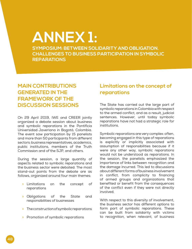### **ANNEX 1:**

**SYMPOSIUM: BETWEEN SOLIDARITY AND OBLIGATION. CHALLENGES TO BUSINESS PARTICIPATION IN SYMBOLIC REPARATIONS**

#### **MAIN CONTRIBUTIONS GENERATED IN THE FRAMEWORK OF THE DISCUSSION SESSIONS**

On 29 April 2019, IWE and CREER jointly organized a debate session about business and symbolic reparations in the Pontificia Universidad Javeriana in Bogotá, Colombia. The event saw participation by 15 panelists and more than 50 participants from different sectors: business representatives, academics, public institutions, members of the Truth Commission and of the SJP, and others.

During the session, a large quantity of aspects related to symbolic reparations and the business sector were debated. The most stand-out points from the debate are as follows, organized around four main themes:

- » Limitations on the concept of reparations
- » Obligations of the State and responsibilities of businesses
- » The construction of symbolic reparations
- » Promotion of symbolic reparations

#### **Limitations on the concept of reparations**

The State has carried out the large part of symbolic reparations in Colombia with respect to the armed conflict, and as a result, judicial sentences. However, until today symbolic reparations have not had a strategic role for institutions.

Symbolic reparations are very complex: often, becoming engaged in this type of reparations is explicitly or implicitly associated with assumption of responsibilities because if it were any other way, symbolic reparations would not be understood as reparations. In the session, the panelists emphasized the importance of links between recognition and the damage incurred. This led to discussions about different forms of business involvement in conflict, from complicity to financing of armed groups and organizations that benefited or benefit from the consequences of the conflict even if they were not directly involved.

With respect to this diversity of involvement, the business sector has different options to form part of symbolic reparations. These can be built from solidarity with victims to recognition, when relevant, of business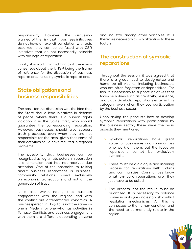responsibility. However, the discussion warned of the risk that if business initiatives do not have an explicit correlation with acts occurred, they can be confused with CSR initiatives that do not necessarily coincide with the logic of reparation.

Finally, it is worth highlighting that there was consensus about the UNGP being the frame of reference for the discussion of business reparations, including symbolic reparations.

#### **State obligations and business responsibilities**

The basis for this discussion was the idea that the State should lead initiatives in defense of peace: where there is a human rights violation it is the State, first, who should guarantee the corresponding reparation. However, businesses should also support truth processes, even when they are not responsible for the acts, given that some of their activities could have resulted in regional problems.

The possibility that businesses can be recognized as legitimate actors in reparation is a dimension that has not received due attention. One of the obstacles to talking about business reparations is businesscommunity relations based exclusively on economic transactions and not on the generation of trust.

It is also worth noting that business engagement with the regions and with the conflict are differentiated dynamics. A businessperson in Bogota is not the same as one in Medellin or one who has activities in Tumaco. Conflicts and business engagement with them are different depending on zone

and industry, among other variables. It is therefore necessary to pay attention to these factors.

#### **The construction of symbolic reparations**

Throughout the session, it was agreed that there is a great need to destigmatize and humanize all victims, including businesses, who are often forgotten or deprioritized. For this, it is necessary to support initiatives that focus on values such as creativity, resilience, and truth. Symbolic reparations enter in this category, even when they see participation by the business sector.

Upon asking the panelists how to develop symbolic reparations with participation by the business sector, these were the main aspects they mentioned:

- » Symbolic reparations have great value for businesses and communities who work on them, but the focus on reparations cannot be exclusively symbolic.
- » There must be a dialogue and listening process for reparations with victims and communities. Communities know what symbolic reparations are, they just have to be asked.
- » The process, not the result, must be prioritized. It is necessary to balance power in dialogue and establish conflict resolution mechanisms. All this is connected to the human condition and the need to permanently relate in the region.

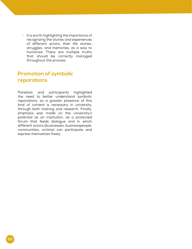» It is worth highlighting the importance of recognizing the stories and experiences of different actors, their life stories, struggles, and memories, as a way to humanize. There are multiple truths that should be correctly managed throughout the process.

#### **Promotion of symbolic reparations**

Panelists and participants highlighted the need to better understand symbolic reparations, so a greater presence of this kind of content is necessary in university, through both training and research. Finally, emphasis was made on the university's potential as an institution, as a protected forum that feeds dialogue and in which different actors (businesses, businesspeople, communities, victims) can participate and express themselves freely.